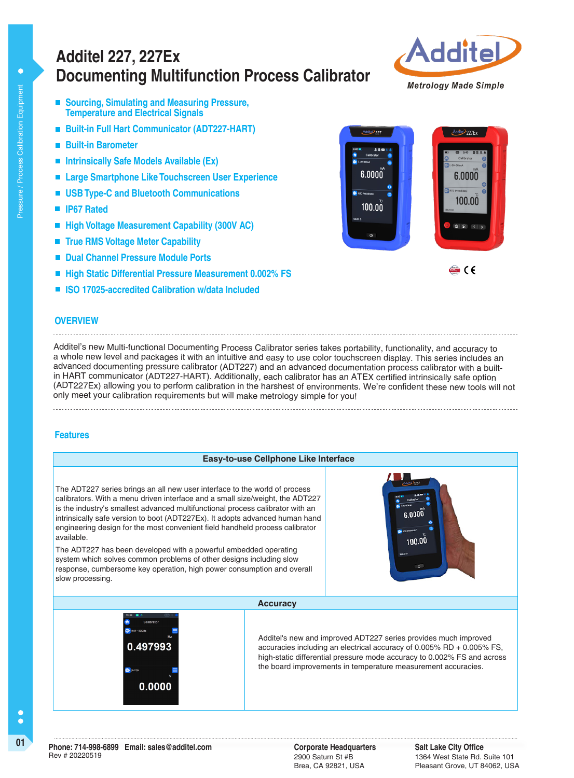# **Documenting Multifunction Process Calibrator Additel 227, 227Ex**



- Sourcing, Simulating and Measuring Pressure, **Temperature and Electrical Signals**
- **Built-in Full Hart Communicator (ADT227-HART)**
- **Built-in Barometer**
- **Intrinsically Safe Models Available (Ex)**
- Large Smartphone Like Touchscreen User Experience
- **USB Type-C and Bluetooth Communications**
- **IP67 Rated**
- High Voltage Measurement Capability (300V AC)
- **True RMS Voltage Meter Capability**
- $\mathcal{L}_{\mathcal{A}}$ **Dual Channel Pressure Module Ports**
- **High Static Differential Pressure Measurement 0.002% FS**
- **ISO 17025-accredited Calibration w/data Included**



### **OVERVIEW**

Additel's new Multi-functional Documenting Process Calibrator series takes portability, functionality, and accuracy to a whole new level and packages it with an intuitive and easy to use color touchscreen display. This series includes an advanced documenting pressure calibrator (ADT227) and an advanced documentation process calibrator with a builtin HART communicator (ADT227-HART). Additionally, each calibrator has an ATEX certified intrinsically safe option (ADT227Ex) allowing you to perform calibration in the harshest of environments. We're confident these new tools will not only meet your calibration requirements but will make metrology simple for you!

### **Features**

### **Easy-to-use Cellphone Like Interface** The ADT227 series brings an all new user interface to the world of process calibrators. With a menu driven interface and a small size/weight, the ADT227 is the industry's smallest advanced multifunctional process calibrator with an  $6.0000$ intrinsically safe version to boot (ADT227Ex). It adopts advanced human hand engineering design for the most convenient field handheld process calibrator available. 100.00 The ADT227 has been developed with a powerful embedded operating system which solves common problems of other designs including slow response, cumbersome key operation, high power consumption and overall slow processing. **Accuracy**Additel's new and improved ADT227 series provides much improved 0.497993 accuracies including an electrical accuracy of 0.005% RD + 0.005% FS, high-static differential pressure mode accuracy to 0.002% FS and across the board improvements in temperature measurement accuracies. 0.0000

C Ċ

2900 Saturn St #B Brea, CA 92821, USA

**Salt Lake City Office** 1364 West State Rd. Suite 101 Pleasant Grove, UT 84062, USA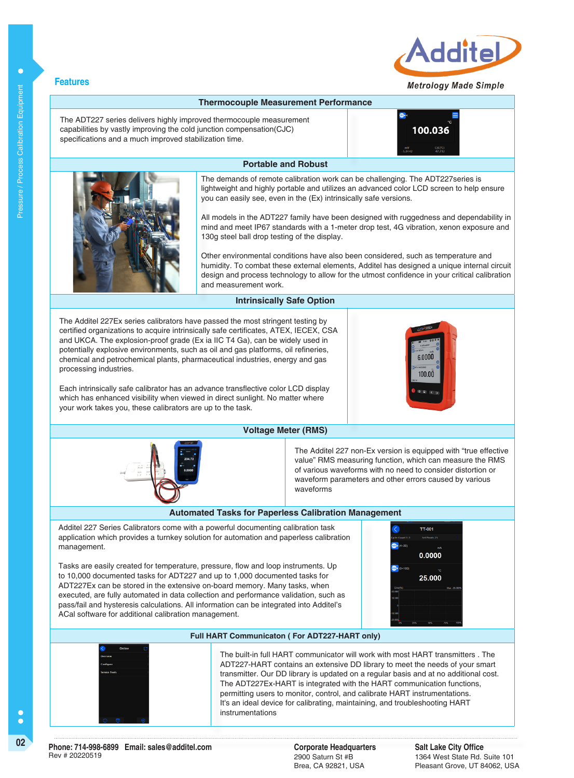

#### **Metrology Made Simple**



Additel 227 Series Calibrators come with a powerful documenting calibration task application which provides a turnkey solution for automation and paperless calibration management.

Tasks are easily created for temperature, pressure, flow and loop instruments. Up to 10,000 documented tasks for ADT227 and up to 1,000 documented tasks for ADT227Ex can be stored in the extensive on-board memory. Many tasks, when executed, are fully automated in data collection and performance validation, such as pass/fail and hysteresis calculations. All information can be integrated into Additel's ACal software for additional calibration management.





**Full HART Communicaton ( For ADT227-HART only)**

The built-in full HART communicator will work with most HART transmitters . The ADT227-HART contains an extensive DD library to meet the needs of your smart transmitter. Our DD library is updated on a regular basis and at no additional cost. The ADT227Ex-HART is integrated with the HART communication functions, permitting users to monitor, control, and calibrate HART instrumentations. It's an ideal device for calibrating, maintaining, and troubleshooting HART instrumentations

2900 Saturn St #B Brea, CA 92821, USA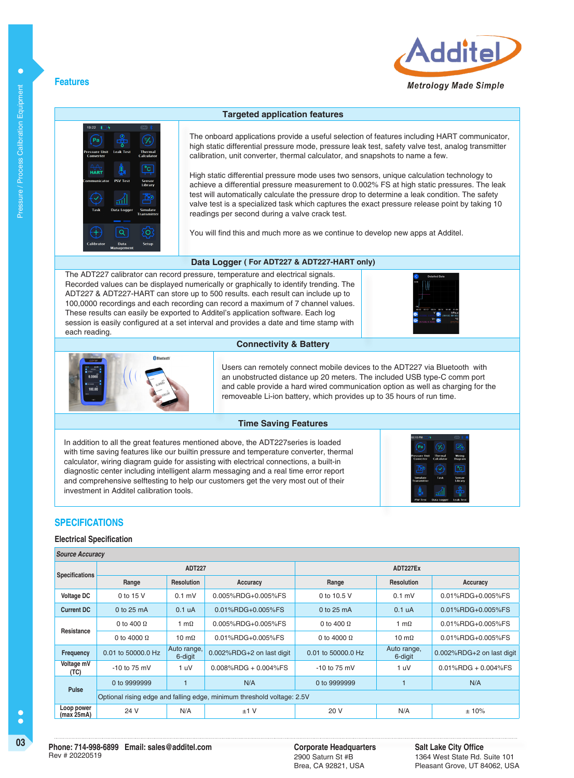

### **Features**



The onboard applications provide a useful selection of features including HART communicator, high static differential pressure mode, pressure leak test, safety valve test, analog transmitter calibration, unit converter, thermal calculator, and snapshots to name a few.

High static differential pressure mode uses two sensors, unique calculation technology to achieve a differential pressure measurement to 0.002% FS at high static pressures. The leak test will automatically calculate the pressure drop to determine a leak condition. The safety valve test is a specialized task which captures the exact pressure release point by taking 10 readings per second during a valve crack test.

You will find this and much more as we continue to develop new apps at Additel.

#### **Data Logger ( For ADT227 & ADT227-HART only)**

**Connectivity & Battery**

The ADT227 calibrator can record pressure, temperature and electrical signals. Recorded values can be displayed numerically or graphically to identify trending. The ADT227 & ADT227-HART can store up to 500 results. each result can include up to 100,0000 recordings and each recording can record a maximum of 7 channel values. These results can easily be exported to Additel's application software. Each log session is easily configured at a set interval and provides a date and time stamp with each reading.





Users can remotely connect mobile devices to the ADT227 via Bluetooth with an unobstructed distance up 20 meters. The included USB type-C comm port and cable provide a hard wired communication option as well as charging for the

removeable Li-ion battery, which provides up to 35 hours of run time.

## **Time Saving Features**

In addition to all the great features mentioned above, the ADT227series is loaded with time saving features like our builtin pressure and temperature converter, thermal calculator, wiring diagram guide for assisting with electrical connections, a built-in diagnostic center including intelligent alarm messaging and a real time error report and comprehensive selftesting to help our customers get the very most out of their investment in Additel calibration tools.

### **SPECIFICATIONS**

#### **Electrical Specification**

| <b>Source Accuracy</b>   |                      |                        |                                                                        |                    |                        |                           |  |
|--------------------------|----------------------|------------------------|------------------------------------------------------------------------|--------------------|------------------------|---------------------------|--|
| <b>Specifications</b>    | <b>ADT227</b>        |                        |                                                                        | ADT227Ex           |                        |                           |  |
|                          | Range                | <b>Resolution</b>      | Accuracy                                                               | Range              | <b>Resolution</b>      | Accuracy                  |  |
| <b>Voltage DC</b>        | 0 to 15 V            | $0.1$ mV               | 0.005%RDG+0.005%FS                                                     | 0 to 10.5 V        | $0.1$ mV               | 0.01%RDG+0.005%FS         |  |
| <b>Current DC</b>        | 0 to $25 \text{ mA}$ | 0.1 <sub>u</sub> A     | 0.01%RDG+0.005%FS                                                      | $0$ to 25 mA       | 0.1 <sub>u</sub> A     | 0.01%RDG+0.005%FS         |  |
| Resistance               | 0 to 400 $\Omega$    | 1 m $\Omega$           | 0.005%RDG+0.005%FS                                                     | 0 to 400 $\Omega$  | 1 m $\Omega$           | 0.01%RDG+0.005%FS         |  |
|                          | 0 to 4000 $\Omega$   | 10 m $\Omega$          | 0.01%RDG+0.005%FS                                                      | 0 to 4000 $\Omega$ | 10 m $\Omega$          | 0.01%RDG+0.005%FS         |  |
| <b>Frequency</b>         | 0.01 to 50000.0 Hz   | Auto range,<br>6-digit | 0.002%RDG+2 on last digit                                              | 0.01 to 50000.0 Hz | Auto range,<br>6-digit | 0.002%RDG+2 on last digit |  |
| Voltage mV<br>(TC)       | $-10$ to 75 mV       | 1 uV                   | $0.008\%$ RDG + 0.004%FS                                               | $-10$ to 75 mV     | 1 uV                   | $0.01\%$ RDG + 0.004%FS   |  |
| Pulse                    | 0 to 9999999         |                        | N/A                                                                    | 0 to 9999999       |                        | N/A                       |  |
|                          |                      |                        | Optional rising edge and falling edge, minimum threshold voltage: 2.5V |                    |                        |                           |  |
| Loop power<br>(max 25mA) | 24 V                 | N/A                    | $±1$ V                                                                 | 20 V               | N/A                    | ±10%                      |  |

 $\bullet$ 

2900 Saturn St #B Brea, CA 92821, USA **Salt Lake City Office** 1364 West State Rd. Suite 101 Pleasant Grove, UT 84062, USA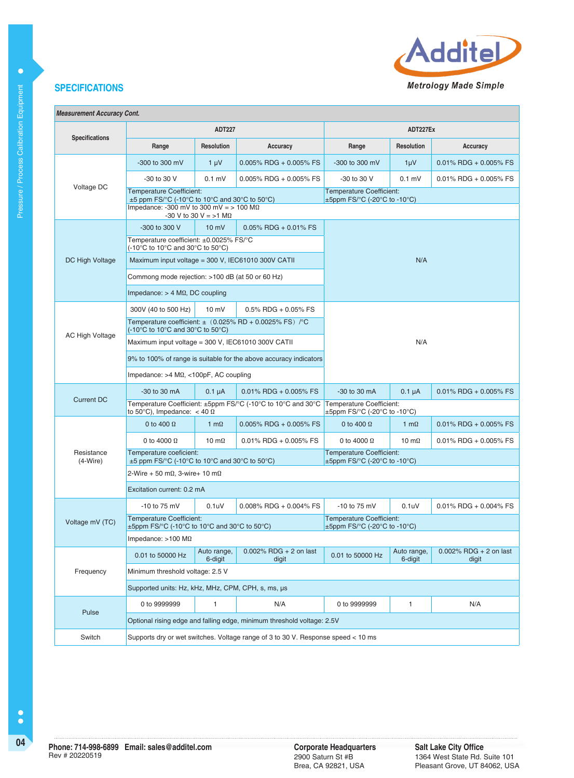

 $\bullet$ 

| <b>Measurement Accuracy Cont.</b> |  |  |
|-----------------------------------|--|--|
|-----------------------------------|--|--|

|                          |                                                                                                                                                                               | <b>ADT227</b>          |                                                                   | ADT227Ex                                                             |                        |                                    |  |
|--------------------------|-------------------------------------------------------------------------------------------------------------------------------------------------------------------------------|------------------------|-------------------------------------------------------------------|----------------------------------------------------------------------|------------------------|------------------------------------|--|
| Specifications           | Range                                                                                                                                                                         | <b>Resolution</b>      | Accuracy                                                          | Range                                                                | <b>Resolution</b>      | Accuracy                           |  |
|                          | -300 to 300 mV                                                                                                                                                                | $1 \mu V$              | $0.005\%$ RDG + 0.005% FS                                         | -300 to 300 mV                                                       | $1 \mu V$              | $0.01\%$ RDG + 0.005% FS           |  |
|                          | -30 to 30 V                                                                                                                                                                   | $0.1$ mV               | $0.005\%$ RDG + 0.005% FS                                         | -30 to 30 V                                                          | $0.1$ mV               | $0.01\%$ RDG + 0.005% FS           |  |
| Voltage DC               | <b>Temperature Coefficient:</b><br>$\pm 5$ ppm FS/°C (-10°C to 10°C and 30°C to 50°C)<br>Impedance: -300 mV to 300 mV = $> 100$ M $\Omega$<br>-30 V to 30 V = $>1$ M $\Omega$ |                        |                                                                   | <b>Temperature Coefficient:</b><br>$\pm$ 5ppm FS/°C (-20°C to -10°C) |                        |                                    |  |
|                          | -300 to 300 V                                                                                                                                                                 | $10 \text{ mV}$        | $0.05\%$ RDG + 0.01% FS                                           |                                                                      |                        |                                    |  |
|                          | Temperature coefficient: ±0.0025% FS/°C<br>(-10°C to 10°C and 30°C to 50°C)                                                                                                   |                        |                                                                   |                                                                      |                        |                                    |  |
| DC High Voltage          | Maximum input voltage = 300 V, IEC61010 300V CATII                                                                                                                            |                        |                                                                   |                                                                      | N/A                    |                                    |  |
|                          | Commong mode rejection: >100 dB (at 50 or 60 Hz)                                                                                                                              |                        |                                                                   |                                                                      |                        |                                    |  |
|                          | Impedance: $> 4$ M $\Omega$ , DC coupling                                                                                                                                     |                        |                                                                   |                                                                      |                        |                                    |  |
|                          | 300V (40 to 500 Hz)                                                                                                                                                           | $10 \text{ mV}$        | $0.5\%$ RDG + 0.05% FS                                            |                                                                      |                        |                                    |  |
|                          | $(-10^{\circ}$ C to 10 $^{\circ}$ C and 30 $^{\circ}$ C to 50 $^{\circ}$ C)                                                                                                   |                        | Temperature coefficient: $\pm$ (0.025% RD + 0.0025% FS) /°C       |                                                                      |                        |                                    |  |
| <b>AC High Voltage</b>   | Maximum input voltage = 300 V, IEC61010 300V CATII                                                                                                                            |                        |                                                                   | N/A                                                                  |                        |                                    |  |
|                          |                                                                                                                                                                               |                        | 9% to 100% of range is suitable for the above accuracy indicators |                                                                      |                        |                                    |  |
|                          | Impedance: $>4$ M $\Omega$ , <100pF, AC coupling                                                                                                                              |                        |                                                                   |                                                                      |                        |                                    |  |
|                          | $-30$ to $30$ mA                                                                                                                                                              | $0.1 \mu A$            | $0.01\%$ RDG + 0.005% FS                                          | $-30$ to $30$ mA                                                     | $0.1 \mu A$            | $0.01\%$ RDG + 0.005% FS           |  |
| <b>Current DC</b>        | Temperature Coefficient: ±5ppm FS/°C (-10°C to 10°C and 30°C<br>to 50°C), Impedance: $<$ 40 $\Omega$                                                                          |                        |                                                                   | Temperature Coefficient:<br>$\pm$ 5ppm FS/°C (-20°C to -10°C)        |                        |                                    |  |
|                          | 0 to 400 $\Omega$                                                                                                                                                             | $1 \text{ m}\Omega$    | $0.005\%$ RDG + 0.005% FS                                         | 0 to 400 $\Omega$                                                    | 1 m $\Omega$           | $0.01\%$ RDG + 0.005% FS           |  |
|                          | 0 to 4000 $\Omega$                                                                                                                                                            | 10 m $\Omega$          | $0.01\%$ RDG + 0.005% FS                                          | 0 to 4000 $\Omega$                                                   | 10 m $\Omega$          | $0.01\%$ RDG + 0.005% FS           |  |
| Resistance<br>$(4-Wire)$ | Temperature coeficient:<br>$\pm$ 5 ppm FS/°C (-10°C to 10°C and 30°C to 50°C)                                                                                                 |                        |                                                                   | <b>Temperature Coefficient:</b><br>$\pm$ 5ppm FS/°C (-20°C to -10°C) |                        |                                    |  |
|                          | 2-Wire + 50 m $\Omega$ , 3-wire+ 10 m $\Omega$                                                                                                                                |                        |                                                                   |                                                                      |                        |                                    |  |
|                          | Excitation current: 0.2 mA                                                                                                                                                    |                        |                                                                   |                                                                      |                        |                                    |  |
|                          | $-10$ to 75 mV                                                                                                                                                                | 0.1 <sub>u</sub>       | $0.008\%$ RDG + 0.004% FS                                         | -10 to 75 mV                                                         | 0.1 <sub>u</sub>       | $0.01\%$ RDG + 0.004% FS           |  |
| Voltage mV (TC)          | <b>Temperature Coefficient:</b><br>$\pm$ 5ppm FS/ $\degree$ C (-10 $\degree$ C to 10 $\degree$ C and 30 $\degree$ C to 50 $\degree$ C)                                        |                        |                                                                   | <b>Temperature Coefficient:</b><br>$\pm$ 5ppm FS/°C (-20°C to -10°C) |                        |                                    |  |
|                          | Impedance: $>100$ M $\Omega$                                                                                                                                                  |                        |                                                                   |                                                                      |                        |                                    |  |
|                          | 0.01 to 50000 Hz                                                                                                                                                              | Auto range,<br>6-digit | $0.002\%$ RDG + 2 on last<br>digit                                | 0.01 to 50000 Hz                                                     | Auto range,<br>6-digit | $0.002\%$ RDG + 2 on last<br>digit |  |
| Frequency                | Minimum threshold voltage: 2.5 V                                                                                                                                              |                        |                                                                   |                                                                      |                        |                                    |  |
|                          | Supported units: Hz, kHz, MHz, CPM, CPH, s, ms, µs                                                                                                                            |                        |                                                                   |                                                                      |                        |                                    |  |
|                          | 0 to 9999999                                                                                                                                                                  | 1                      | N/A                                                               | 0 to 9999999                                                         | 1                      | N/A                                |  |
| Pulse                    | Optional rising edge and falling edge, minimum threshold voltage: 2.5V                                                                                                        |                        |                                                                   |                                                                      |                        |                                    |  |
| Switch                   | Supports dry or wet switches. Voltage range of 3 to 30 V. Response speed < 10 ms                                                                                              |                        |                                                                   |                                                                      |                        |                                    |  |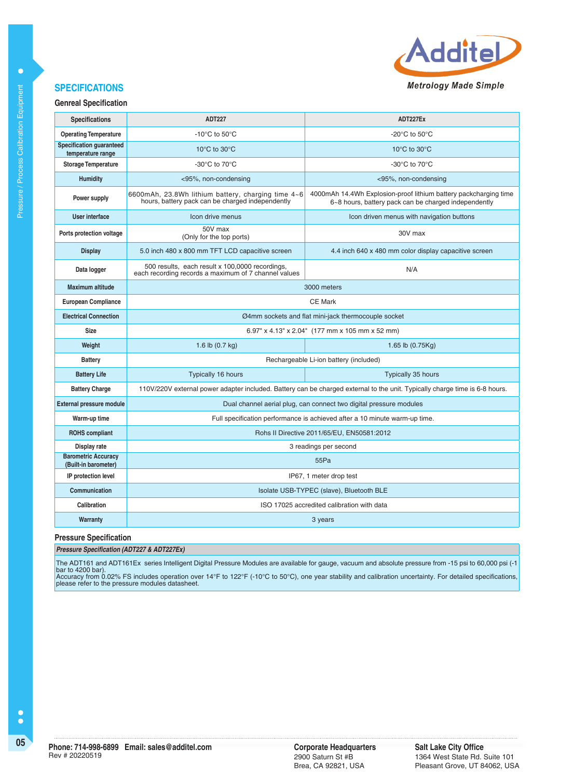

## **Genreal Specification**

| <b>Specifications</b>                                | <b>ADT227</b>                                                                                                  | ADT227Ex                                                                                                                    |  |  |  |
|------------------------------------------------------|----------------------------------------------------------------------------------------------------------------|-----------------------------------------------------------------------------------------------------------------------------|--|--|--|
| <b>Operating Temperature</b>                         | -10 $\mathrm{^{\circ}C}$ to 50 $\mathrm{^{\circ}C}$                                                            | -20 $^{\circ}$ C to 50 $^{\circ}$ C                                                                                         |  |  |  |
| <b>Specification guaranteed</b><br>temperature range | 10 $\rm{^{\circ}C}$ to 30 $\rm{^{\circ}C}$                                                                     | 10 $\rm{^{\circ}C}$ to 30 $\rm{^{\circ}C}$                                                                                  |  |  |  |
| <b>Storage Temperature</b>                           | -30°C to 70°C                                                                                                  | -30 $\rm{^{\circ}C}$ to 70 $\rm{^{\circ}C}$                                                                                 |  |  |  |
| <b>Humidity</b>                                      | <95%, non-condensing                                                                                           | <95%, non-condensing                                                                                                        |  |  |  |
| Power supply                                         | 6600mAh, 23.8Wh lithium battery, charging time 4~6<br>hours, battery pack can be charged independently         | 4000mAh 14.4Wh Explosion-proof lithium battery packcharging time<br>6~8 hours, battery pack can be charged independently    |  |  |  |
| User interface                                       | Icon drive menus                                                                                               | Icon driven menus with navigation buttons                                                                                   |  |  |  |
| Ports protection voltage                             | 50V max<br>(Only for the top ports)                                                                            | 30V max                                                                                                                     |  |  |  |
| <b>Display</b>                                       | 5.0 inch 480 x 800 mm TFT LCD capacitive screen                                                                | 4.4 inch 640 x 480 mm color display capacitive screen                                                                       |  |  |  |
| Data logger                                          | 500 results, each result x 100,0000 recordings,<br>N/A<br>each recording records a maximum of 7 channel values |                                                                                                                             |  |  |  |
| Maximum altitude                                     | 3000 meters                                                                                                    |                                                                                                                             |  |  |  |
| <b>European Compliance</b>                           | <b>CE Mark</b>                                                                                                 |                                                                                                                             |  |  |  |
| <b>Electrical Connection</b>                         | Ø4mm sockets and flat mini-jack thermocouple socket                                                            |                                                                                                                             |  |  |  |
| <b>Size</b>                                          | 6.97" x 4.13" x 2.04" (177 mm x 105 mm x 52 mm)                                                                |                                                                                                                             |  |  |  |
| Weight                                               | 1.6 lb $(0.7 \text{ kg})$                                                                                      | 1.65 lb $(0.75Kg)$                                                                                                          |  |  |  |
| <b>Battery</b>                                       |                                                                                                                | Rechargeable Li-ion battery (included)                                                                                      |  |  |  |
| <b>Battery Life</b>                                  | Typically 16 hours                                                                                             | Typically 35 hours                                                                                                          |  |  |  |
| <b>Battery Charge</b>                                |                                                                                                                | 110V/220V external power adapter included. Battery can be charged external to the unit. Typically charge time is 6-8 hours. |  |  |  |
| <b>External pressure module</b>                      |                                                                                                                | Dual channel aerial plug, can connect two digital pressure modules                                                          |  |  |  |
| Warm-up time                                         |                                                                                                                | Full specification performance is achieved after a 10 minute warm-up time.                                                  |  |  |  |
| <b>ROHS compliant</b>                                | Rohs II Directive 2011/65/EU, EN50581:2012                                                                     |                                                                                                                             |  |  |  |
| Display rate                                         | 3 readings per second                                                                                          |                                                                                                                             |  |  |  |
| <b>Barometric Accuracy</b><br>(Built-in barometer)   | 55Pa                                                                                                           |                                                                                                                             |  |  |  |
| IP protection level                                  | IP67, 1 meter drop test                                                                                        |                                                                                                                             |  |  |  |
| Communication                                        |                                                                                                                | Isolate USB-TYPEC (slave), Bluetooth BLE                                                                                    |  |  |  |
| Calibration                                          |                                                                                                                | ISO 17025 accredited calibration with data                                                                                  |  |  |  |
| Warranty                                             |                                                                                                                | 3 years                                                                                                                     |  |  |  |
|                                                      |                                                                                                                |                                                                                                                             |  |  |  |

#### **Pressure Specification**

**Pressure Specification (ADT227 & ADT227Ex)**

The ADT161 and ADT161Ex series Intelligent Digital Pressure Modules are available for gauge, vacuum and absolute pressure from -15 psi to 60,000 psi (-1 bar to 4200 bar). Accuracy from 0.02% FS includes operation over 14°F to 122°F (-10°C to 50°C), one year stability and calibration uncertainty. For detailed specifications, please refer to the pressure modules datasheet.

 $\bullet$ 

 $\bullet$ 

2900 Saturn St #B Brea, CA 92821, USA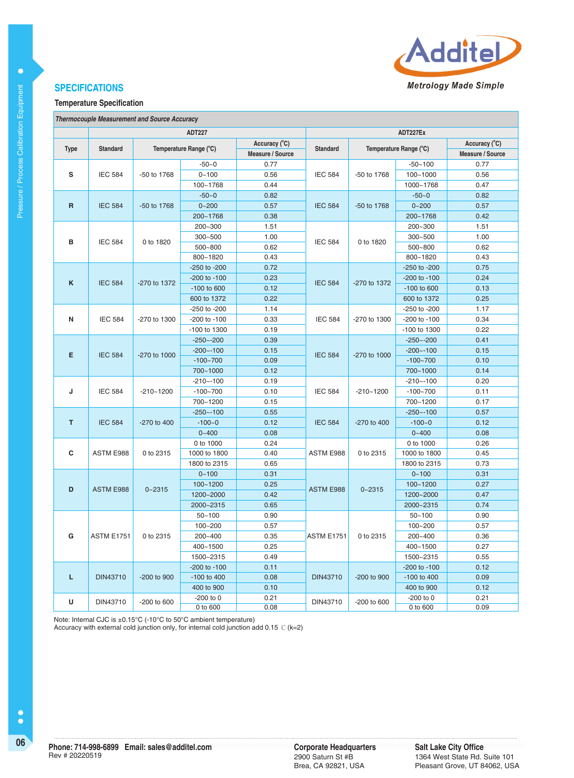

#### **Temperature Specification**

|  | <b>Thermocouple Measurement and Source Accuracy</b> |  |  |
|--|-----------------------------------------------------|--|--|
|--|-----------------------------------------------------|--|--|

|                     | <b>ADT227</b>     |                        |                  |                  |                                 | ADT227Ex     |                        |                  |  |
|---------------------|-------------------|------------------------|------------------|------------------|---------------------------------|--------------|------------------------|------------------|--|
|                     |                   |                        | Accuracy (°C)    |                  |                                 |              |                        | Accuracy (°C)    |  |
| <b>Type</b>         | <b>Standard</b>   | Temperature Range (°C) |                  | Measure / Source | <b>Standard</b>                 |              | Temperature Range (°C) | Measure / Source |  |
|                     |                   |                        | $-50-0$          | 0.77             |                                 |              | $-50 - 100$            | 0.77             |  |
| s                   | <b>IEC 584</b>    | -50 to 1768            | $0 - 100$        | 0.56             | <b>IEC 584</b>                  | -50 to 1768  | $100 - 1000$           | 0.56             |  |
|                     |                   |                        | 100~1768         | 0.44             |                                 |              | 1000~1768              | 0.47             |  |
|                     |                   |                        | $-50 - 0$        | 0.82             |                                 |              | $-50 - 0$              | 0.82             |  |
| $\mathsf{R}$        | <b>IEC 584</b>    | -50 to 1768            | $0 - 200$        | 0.57             | <b>IEC 584</b>                  | -50 to 1768  | $0 - 200$              | 0.57             |  |
|                     |                   |                        | 200~1768         | 0.38             |                                 |              | 200~1768               | 0.42             |  |
|                     |                   |                        | 200~300          | 1.51             |                                 |              | 200~300                | 1.51             |  |
|                     |                   |                        | 300~500          | 1.00             |                                 |              | 300~500                | 1.00             |  |
| в                   | <b>IEC 584</b>    | 0 to 1820              | 500~800          | 0.62             | <b>IEC 584</b>                  | 0 to 1820    | 500~800                | 0.62             |  |
|                     |                   |                        | 800~1820         | 0.43             |                                 |              | 800~1820               | 0.43             |  |
|                     |                   |                        | -250 to -200     | 0.72             |                                 |              | -250 to -200           | 0.75             |  |
|                     |                   |                        | $-200$ to $-100$ | 0.23             |                                 |              | -200 to -100           | 0.24             |  |
| K                   | <b>IEC 584</b>    | -270 to 1372           | -100 to 600      | 0.12             | <b>IEC 584</b>                  | -270 to 1372 | $-100$ to 600          | 0.13             |  |
|                     |                   |                        | 600 to 1372      | 0.22             |                                 |              | 600 to 1372            | 0.25             |  |
|                     |                   |                        | $-250$ to $-200$ | 1.14             |                                 |              | $-250$ to $-200$       | 1.17             |  |
| N                   | <b>IEC 584</b>    | -270 to 1300           | -200 to -100     | 0.33             | <b>IEC 584</b>                  | -270 to 1300 | -200 to -100           | 0.34             |  |
|                     |                   |                        | -100 to 1300     | 0.19             |                                 |              | -100 to 1300           | 0.22             |  |
|                     |                   |                        | $-250 - -200$    | 0.39             |                                 |              | $-250 - -200$          | 0.41             |  |
|                     |                   |                        | $-200 - -100$    | 0.15             |                                 |              | $-200 - 100$           | 0.15             |  |
| E<br><b>IEC 584</b> | $-270$ to $1000$  | $-100 - 700$           | 0.09             | <b>IEC 584</b>   | $-270$ to $1000$                | $-100 - 700$ | 0.10                   |                  |  |
|                     |                   |                        | 700~1000         | 0.12             |                                 |              | 700~1000               | 0.14             |  |
|                     |                   |                        | $-210 - -100$    | 0.19             | <b>IEC 584</b><br>$-210 - 1200$ |              | $-210 - -100$          | 0.20             |  |
| J                   | <b>IEC 584</b>    | $-210 - 1200$          | $-100 - 700$     | 0.10             |                                 |              | $-100 - 700$           | 0.11             |  |
|                     |                   |                        | 700~1200         | 0.15             |                                 | 700~1200     | 0.17                   |                  |  |
|                     |                   |                        | $-250 - -100$    | 0.55             |                                 |              | $-250 - -100$          | 0.57             |  |
| T                   | <b>IEC 584</b>    | -270 to 400            | $-100 - 0$       | 0.12             | <b>IEC 584</b>                  | -270 to 400  | $-100 - 0$             | 0.12             |  |
|                     |                   |                        | $0 - 400$        | 0.08             |                                 |              | $0 - 400$              | 0.08             |  |
|                     |                   |                        | 0 to 1000        | 0.24             |                                 |              | 0 to 1000              | 0.26             |  |
| C                   | ASTM E988         | 0 to 2315              | 1000 to 1800     | 0.40             | ASTM E988                       | 0 to 2315    | 1000 to 1800           | 0.45             |  |
|                     |                   |                        | 1800 to 2315     | 0.65             |                                 |              | 1800 to 2315           | 0.73             |  |
|                     |                   |                        | $0 - 100$        | 0.31             |                                 |              | $0 - 100$              | 0.31             |  |
| D                   | <b>ASTM E988</b>  |                        | 100~1200         | 0.25             |                                 |              | $100 - 1200$           | 0.27             |  |
|                     |                   | $0 - 2315$             | 1200~2000        | 0.42             | <b>ASTM E988</b>                | $0 - 2315$   | 1200~2000              | 0.47             |  |
|                     |                   |                        | 2000~2315        | 0.65             |                                 |              | 2000~2315              | 0.74             |  |
|                     |                   |                        | $50 - 100$       | 0.90             |                                 |              | $50 - 100$             | 0.90             |  |
|                     |                   |                        | 100~200          | 0.57             |                                 |              | 100~200                | 0.57             |  |
| G                   | <b>ASTM E1751</b> | 0 to 2315              | 200~400          | 0.35             | <b>ASTM E1751</b>               | 0 to 2315    | 200~400                | 0.36             |  |
|                     |                   |                        | 400~1500         | 0.25             |                                 |              | 400~1500               | 0.27             |  |
|                     |                   |                        | 1500~2315        | 0.49             |                                 |              | 1500~2315              | 0.55             |  |
|                     |                   |                        | -200 to -100     | 0.11             |                                 |              | -200 to -100           | 0.12             |  |
| L                   | <b>DIN43710</b>   | -200 to 900            | -100 to 400      | 0.08             | <b>DIN43710</b>                 | -200 to 900  | -100 to 400            | 0.09             |  |
|                     |                   |                        | 400 to 900       | 0.10             |                                 |              | 400 to 900             | 0.12             |  |
| U                   | DIN43710          | -200 to 600            | $-200$ to $0$    | 0.21             | DIN43710                        | -200 to 600  | $-200$ to $0$          | 0.21             |  |
|                     |                   |                        | 0 to 600         | 0.08             |                                 |              | 0 to 600               | 0.09             |  |

Note: Internal CJC is ±0.15°C (-10°C to 50°C ambient temperature)

Accuracy with external cold junction only, for internal cold junction add 0.15 ℃(k=2)

 $\bullet$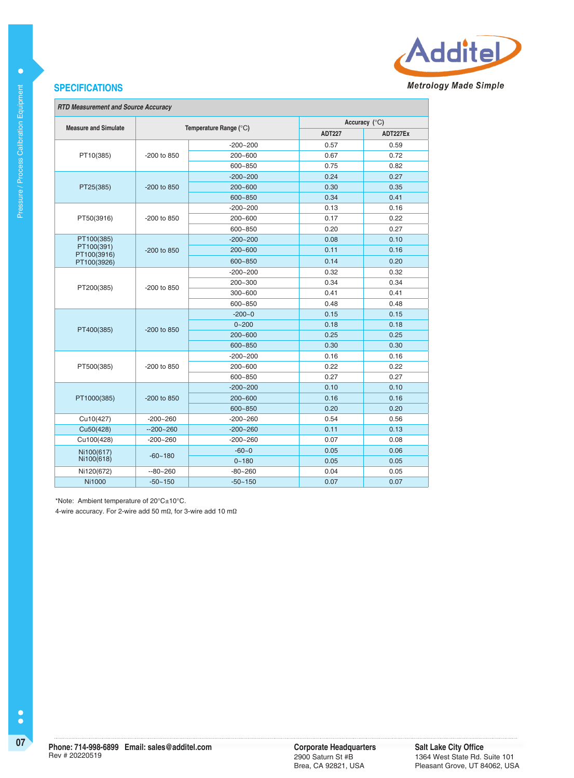

#### **RTD Measurement and Source Accuracy**

|                             |               |                        | Accuracy $(^{\circ}C)$ |          |  |
|-----------------------------|---------------|------------------------|------------------------|----------|--|
| <b>Measure and Simulate</b> |               | Temperature Range (°C) | <b>ADT227</b>          | ADT227Ex |  |
|                             |               | $-200 - 200$           | 0.57                   | 0.59     |  |
| PT10(385)                   | $-200$ to 850 | $200 - 600$            | 0.67                   | 0.72     |  |
|                             |               | 600~850                | 0.75                   | 0.82     |  |
|                             |               | $-200 - 200$           | 0.24                   | 0.27     |  |
| PT25(385)                   | -200 to 850   | $200 - 600$            | 0.30                   | 0.35     |  |
|                             |               | $600 - 850$            | 0.34                   | 0.41     |  |
|                             |               | $-200 - 200$           | 0.13                   | 0.16     |  |
| PT50(3916)                  | -200 to 850   | $200 - 600$            | 0.17                   | 0.22     |  |
|                             |               | 600~850                | 0.20                   | 0.27     |  |
| PT100(385)                  |               | $-200 - 200$           | 0.08                   | 0.10     |  |
| PT100(391)<br>PT100(3916)   | -200 to 850   | $200 - 600$            | 0.11                   | 0.16     |  |
| PT100(3926)                 |               | $600 - 850$            | 0.14                   | 0.20     |  |
|                             | -200 to 850   | $-200 - 200$           | 0.32                   | 0.32     |  |
|                             |               | 200~300                | 0.34                   | 0.34     |  |
| PT200(385)                  |               | $300 - 600$            | 0.41                   | 0.41     |  |
|                             |               | 600~850                | 0.48                   | 0.48     |  |
|                             | $-200$ to 850 | $-200 - 0$             | 0.15                   | 0.15     |  |
| PT400(385)                  |               | $0 - 200$              | 0.18                   | 0.18     |  |
|                             |               | $200 - 600$            | 0.25                   | 0.25     |  |
|                             |               | 600~850                | 0.30                   | 0.30     |  |
|                             |               | $-200 - 200$           | 0.16                   | 0.16     |  |
| PT500(385)                  | -200 to 850   | $200 - 600$            | 0.22                   | 0.22     |  |
|                             |               | 600~850                | 0.27                   | 0.27     |  |
|                             |               | $-200 - 200$           | 0.10                   | 0.10     |  |
| PT1000(385)                 | $-200$ to 850 | $200 - 600$            | 0.16                   | 0.16     |  |
|                             |               | 600~850                | 0.20                   | 0.20     |  |
| Cu10(427)                   | $-200 - 260$  | $-200 - 260$           | 0.54                   | 0.56     |  |
| Cu50(428)                   | $-200 - 260$  | $-200 - 260$           | 0.11                   | 0.13     |  |
| Cu100(428)                  | $-200 - 260$  | $-200 - 260$           | 0.07                   | 0.08     |  |
| Ni100(617)                  | $-60 - 180$   | $-60-0$                | 0.05                   | 0.06     |  |
| Ni100(618)                  |               | $0 - 180$              | 0.05                   | 0.05     |  |
| Ni120(672)                  | $-80 - 260$   | $-80 - 260$            | 0.04                   | 0.05     |  |
| <b>Ni1000</b>               | $-50 - 150$   | $-50 - 150$            | 0.07                   | 0.07     |  |

\*Note: Ambient temperature of 20°C±10°C.

4-wire accuracy. For 2-wire add 50 mΩ, for 3-wire add 10 mΩ

 $\bullet$